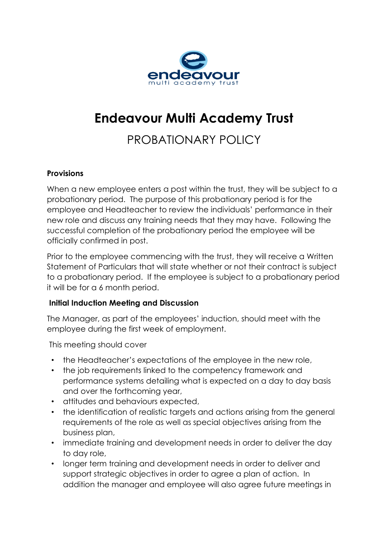

# **Endeavour Multi Academy Trust**

# PROBATIONARY POLICY

#### **Provisions**

When a new employee enters a post within the trust, they will be subject to a probationary period. The purpose of this probationary period is for the employee and Headteacher to review the individuals' performance in their new role and discuss any training needs that they may have. Following the successful completion of the probationary period the employee will be officially confirmed in post.

Prior to the employee commencing with the trust, they will receive a Written Statement of Particulars that will state whether or not their contract is subject to a probationary period. If the employee is subject to a probationary period it will be for a 6 month period.

#### **Initial Induction Meeting and Discussion**

The Manager, as part of the employees' induction, should meet with the employee during the first week of employment.

This meeting should cover

- the Headteacher's expectations of the employee in the new role,
- the job requirements linked to the competency framework and performance systems detailing what is expected on a day to day basis and over the forthcoming year,
- attitudes and behaviours expected,
- the identification of realistic targets and actions arising from the general requirements of the role as well as special objectives arising from the business plan,
- immediate training and development needs in order to deliver the day to day role,
- longer term training and development needs in order to deliver and support strategic objectives in order to agree a plan of action. In addition the manager and employee will also agree future meetings in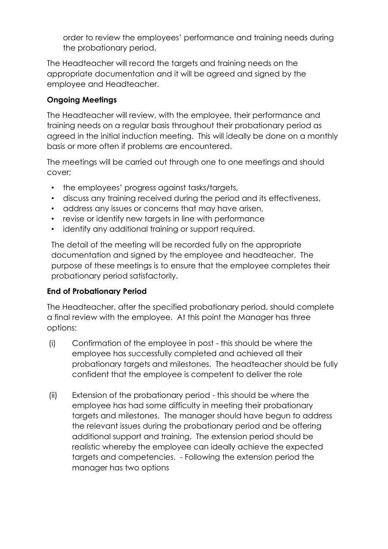order to review the employees' performance and training needs during the probationary period.

The Headteacher will record the targets and training needs on the appropriate documentation and it will be agreed and signed by the employee and Headteacher.

# **Ongoing Meetings**

The Headteacher will review, with the employee, their performance and training needs on a regular basis throughout their probationary period as agreed in the initial induction meeting. This will ideally be done on a monthly basis or more often if problems are encountered.

The meetings will be carried out through one to one meetings and should cover;

- the employees' progress against tasks/targets,
- discuss any training received during the period and its effectiveness,
- address any issues or concerns that may have arisen,
- revise or identify new targets in line with performance
- identify any additional training or support required.

The detail of the meeting will be recorded fully on the appropriate documentation and signed by the employee and headteacher. The purpose of these meetings is to ensure that the employee completes their probationary period satisfactorily.

## **End of Probationary Period**

The Headteacher, after the specified probationary period, should complete a final review with the employee. At this point the Manager has three options:

- (i) Confirmation of the employee in post this should be where the employee has successfully completed and achieved all their probationary targets and milestones. The headteacher should be fully confident that the employee is competent to deliver the role
- (ii) Extension of the probationary period this should be where the employee has had some difficulty in meeting their probationary targets and milestones. The manager should have begun to address the relevant issues during the probationary period and be offering additional support and training. The extension period should be realistic whereby the employee can ideally achieve the expected targets and competencies. - Following the extension period the manager has two options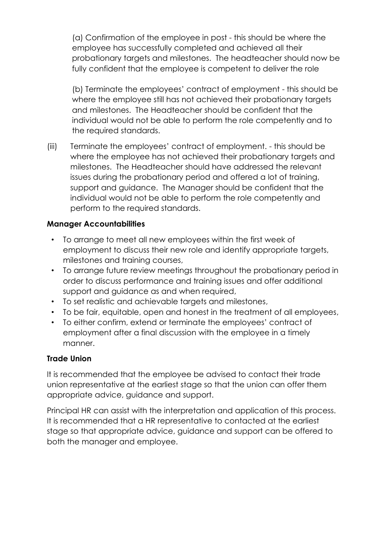(a) Confirmation of the employee in post - this should be where the employee has successfully completed and achieved all their probationary targets and milestones. The headteacher should now be fully confident that the employee is competent to deliver the role

(b) Terminate the employees' contract of employment - this should be where the employee still has not achieved their probationary targets and milestones. The Headteacher should be confident that the individual would not be able to perform the role competently and to the required standards.

(iii) Terminate the employees' contract of employment. - this should be where the employee has not achieved their probationary targets and milestones. The Headteacher should have addressed the relevant issues during the probationary period and offered a lot of training, support and guidance. The Manager should be confident that the individual would not be able to perform the role competently and perform to the required standards.

## **Manager Accountabilities**

- To arrange to meet all new employees within the first week of employment to discuss their new role and identify appropriate targets, milestones and training courses,
- To arrange future review meetings throughout the probationary period in order to discuss performance and training issues and offer additional support and guidance as and when required,
- To set realistic and achievable targets and milestones,
- To be fair, equitable, open and honest in the treatment of all employees,
- To either confirm, extend or terminate the employees' contract of employment after a final discussion with the employee in a timely manner.

## **Trade Union**

It is recommended that the employee be advised to contact their trade union representative at the earliest stage so that the union can offer them appropriate advice, guidance and support.

Principal HR can assist with the interpretation and application of this process. It is recommended that a HR representative to contacted at the earliest stage so that appropriate advice, guidance and support can be offered to both the manager and employee.